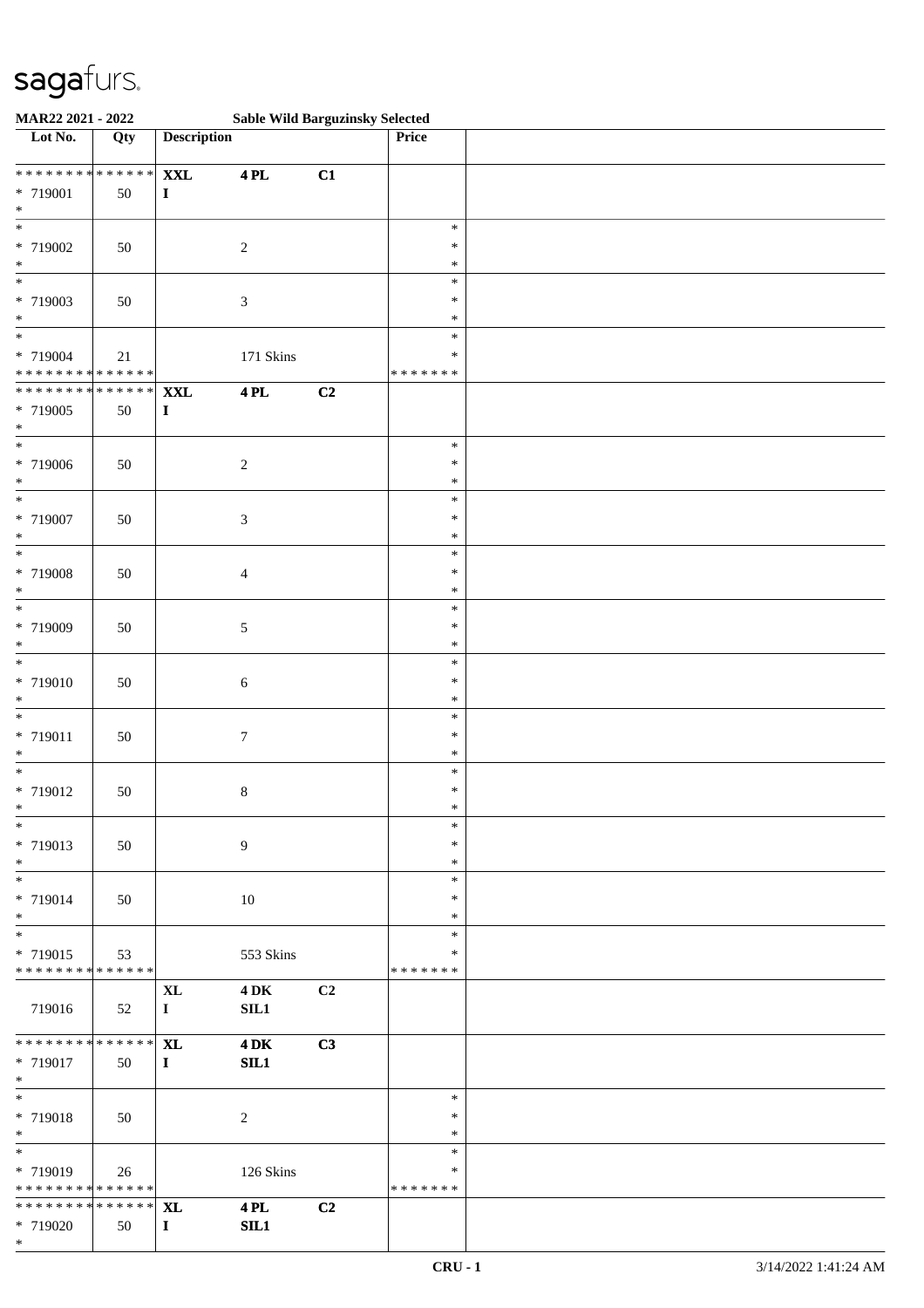| MAR22 2021 - 2022             |        |                    | <b>Sable Wild Barguzinsky Selected</b> |    |                  |  |
|-------------------------------|--------|--------------------|----------------------------------------|----|------------------|--|
| Lot No.                       | Qty    | <b>Description</b> |                                        |    | Price            |  |
|                               |        |                    |                                        |    |                  |  |
| ******** <mark>******</mark>  |        | $\mathbf{XXL}$     | <b>4 PL</b>                            | C1 |                  |  |
| * 719001                      | 50     | $\mathbf I$        |                                        |    |                  |  |
| $\ast$<br>$\overline{\ast}$   |        |                    |                                        |    |                  |  |
|                               |        |                    |                                        |    | $\ast$<br>$\ast$ |  |
| * 719002<br>$\ast$            | 50     |                    | $\boldsymbol{2}$                       |    | $\ast$           |  |
| $*$                           |        |                    |                                        |    | $\ast$           |  |
| * 719003                      |        |                    |                                        |    | $\ast$           |  |
| $\ast$                        | $50\,$ |                    | 3                                      |    | $\ast$           |  |
| $*$                           |        |                    |                                        |    | $\ast$           |  |
| * 719004                      | 21     |                    | 171 Skins                              |    | $\ast$           |  |
| * * * * * * * * * * * * * *   |        |                    |                                        |    | * * * * * * *    |  |
| * * * * * * * * * * * * * *   |        | <b>XXL</b>         | 4 PL                                   | C2 |                  |  |
| * 719005                      | 50     | $\mathbf I$        |                                        |    |                  |  |
| $*$                           |        |                    |                                        |    |                  |  |
| $*$                           |        |                    |                                        |    | $\ast$           |  |
| * 719006                      | $50\,$ |                    | $\boldsymbol{2}$                       |    | $\ast$           |  |
| $\ast$                        |        |                    |                                        |    | $\ast$           |  |
| $\overline{\phantom{0}}$      |        |                    |                                        |    | $\ast$           |  |
| * 719007                      | 50     |                    | 3                                      |    | $\ast$           |  |
| $\ast$                        |        |                    |                                        |    | $\ast$           |  |
| $\overline{\ast}$             |        |                    |                                        |    | $\ast$           |  |
| * 719008                      | 50     |                    | 4                                      |    | $\ast$           |  |
| $\ast$<br>$\ast$              |        |                    |                                        |    | $\ast$<br>$\ast$ |  |
| * 719009                      | 50     |                    | 5                                      |    | $\ast$           |  |
| $\ast$                        |        |                    |                                        |    | $\ast$           |  |
| $\ast$                        |        |                    |                                        |    | $\ast$           |  |
| * 719010                      | 50     |                    | $\sqrt{6}$                             |    | $\ast$           |  |
| $\ast$                        |        |                    |                                        |    | $\ast$           |  |
| $_{*}$                        |        |                    |                                        |    | $\ast$           |  |
| * 719011                      | 50     |                    | $\tau$                                 |    | $\ast$           |  |
| $*$                           |        |                    |                                        |    | $\ast$           |  |
| $\ast$                        |        |                    |                                        |    | $\ast$           |  |
| * 719012                      | 50     |                    | $8\,$                                  |    | $\ast$           |  |
| $*$                           |        |                    |                                        |    | $\ast$           |  |
| $*$                           |        |                    |                                        |    | $\ast$<br>$\ast$ |  |
| * 719013<br>$*$               | 50     |                    | $\overline{9}$                         |    | $\ast$           |  |
| $\overline{\phantom{0}}$      |        |                    |                                        |    | $\ast$           |  |
| * 719014                      | 50     |                    | 10                                     |    | ∗                |  |
| $*$                           |        |                    |                                        |    | $\ast$           |  |
| $*$                           |        |                    |                                        |    | $\ast$           |  |
| * 719015                      | 53     |                    | 553 Skins                              |    | *                |  |
| * * * * * * * * * * * * * * * |        |                    |                                        |    | * * * * * * *    |  |
|                               |        | <b>XL</b>          | $4\,\mathrm{DK}$                       | C2 |                  |  |
| 719016                        | 52     | $\mathbf{I}$       | SIL1                                   |    |                  |  |
|                               |        |                    |                                        |    |                  |  |
| * * * * * * * * * * * * * * * |        | <b>XL</b>          | $4\,\mathrm{DK}$                       | C3 |                  |  |
| * 719017<br>$*$               | 50     | $\mathbf{I}$       | SL1                                    |    |                  |  |
| $*$                           |        |                    |                                        |    | $\ast$           |  |
| * 719018                      | 50     |                    | $\sqrt{2}$                             |    | $\ast$           |  |
| $*$                           |        |                    |                                        |    | $\ast$           |  |
| $*$                           |        |                    |                                        |    | $\ast$           |  |
| * 719019                      | 26     |                    | 126 Skins                              |    | $\ast$           |  |
| * * * * * * * * * * * * * * * |        |                    |                                        |    | * * * * * * *    |  |
| * * * * * * * * * * * * * * * |        | <b>XL</b>          | <b>4 PL</b>                            | C2 |                  |  |
| * 719020                      | 50     | $\mathbf{I}$       | SL1                                    |    |                  |  |
| $*$                           |        |                    |                                        |    |                  |  |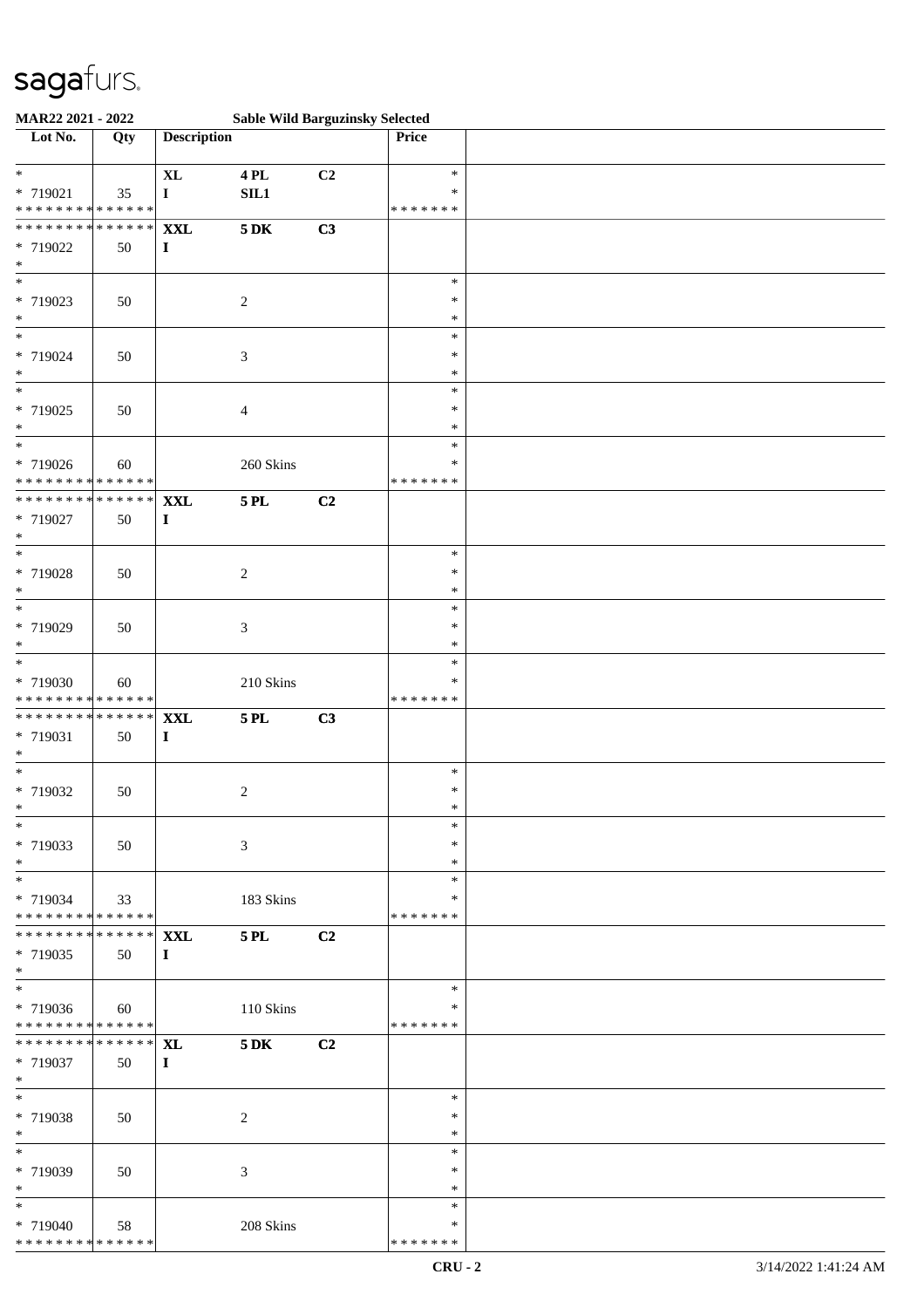| MAR22 2021 - 2022                                            |                                |                            |                    | <b>Sable Wild Barguzinsky Selected</b> |                                   |  |
|--------------------------------------------------------------|--------------------------------|----------------------------|--------------------|----------------------------------------|-----------------------------------|--|
| Lot No.                                                      | Qty                            | <b>Description</b>         |                    |                                        | Price                             |  |
| $\ast$<br>* 719021<br>* * * * * * * * * * * * * *            | 35                             | <b>XL</b><br>$\mathbf{I}$  | <b>4 PL</b><br>SL1 | C2                                     | $\ast$<br>$\ast$<br>* * * * * * * |  |
| * * * * * * * * * * * * * *<br>* 719022<br>$\ast$            | 50                             | <b>XXL</b><br>$\bf{I}$     | $5\,\mathrm{DK}$   | C3                                     |                                   |  |
| $\overline{\ast}$<br>* 719023<br>$\ast$                      | 50                             |                            | $\sqrt{2}$         |                                        | $\ast$<br>$\ast$<br>$\ast$        |  |
| $\overline{\ast}$<br>* 719024<br>$\ast$                      | 50                             |                            | 3                  |                                        | $\ast$<br>$\ast$<br>$\ast$        |  |
| $\overline{\phantom{0}}$<br>* 719025<br>$\ast$               | 50                             |                            | 4                  |                                        | $\ast$<br>$\ast$<br>$\ast$        |  |
| $\ast$<br>* 719026<br>* * * * * * * * * * * * * *            | 60                             |                            | 260 Skins          |                                        | $\ast$<br>$\ast$<br>* * * * * * * |  |
| * * * * * * * * * * * * * *<br>* 719027<br>$\ast$            | 50                             | <b>XXL</b><br>$\mathbf{I}$ | <b>5 PL</b>        | C2                                     |                                   |  |
| $\ast$<br>* 719028<br>$\ast$                                 | 50                             |                            | $\sqrt{2}$         |                                        | $\ast$<br>$\ast$<br>$\ast$        |  |
| $*$<br>* 719029<br>$\ast$                                    | 50                             |                            | 3                  |                                        | $\ast$<br>$\ast$<br>*             |  |
| $\ast$<br>* 719030<br>* * * * * * * * * * * * * *            | 60                             |                            | $210~\rm Skins$    |                                        | $\ast$<br>*<br>* * * * * * *      |  |
| * * * * * * * * * * * * * *<br>* 719031<br>$\ast$            | 50                             | <b>XXL</b><br>$\mathbf I$  | <b>5 PL</b>        | C3                                     |                                   |  |
| $*$<br>* 719032<br>$*$                                       | 50                             |                            | $\overline{c}$     |                                        | $\ast$<br>$\ast$<br>$\ast$        |  |
| $\ast$<br>* 719033<br>$*$                                    | 50                             |                            | 3                  |                                        | $\ast$<br>∗<br>$\ast$             |  |
| $*$<br>* 719034<br>* * * * * * * * * * * * * * *             | 33                             |                            | 183 Skins          |                                        | $\ast$<br>*<br>* * * * * * *      |  |
| * * * * * * * *<br>* 719035<br>$*$                           | $\overline{*******}$ XXL<br>50 | $\bf{I}$                   | <b>5 PL</b>        | C2                                     |                                   |  |
| $\overline{\ast}$<br>* 719036<br>* * * * * * * * * * * * * * | 60                             |                            | 110 Skins          |                                        | $\ast$<br>∗<br>* * * * * * *      |  |
| ******** <mark>******</mark> XL<br>* 719037<br>$*$           | 50                             | $\mathbf{I}$               | 5 DK               | C2                                     |                                   |  |
| $*$<br>* 719038<br>$*$                                       | 50                             |                            | 2                  |                                        | $\ast$<br>$\ast$<br>$\ast$        |  |
| $\ast$<br>* 719039<br>$*$                                    | 50                             |                            | 3                  |                                        | $\ast$<br>∗<br>$\ast$             |  |
| $*$<br>* 719040<br>* * * * * * * * * * * * * *               | 58                             |                            | 208 Skins          |                                        | $\ast$<br>∗<br>* * * * * * *      |  |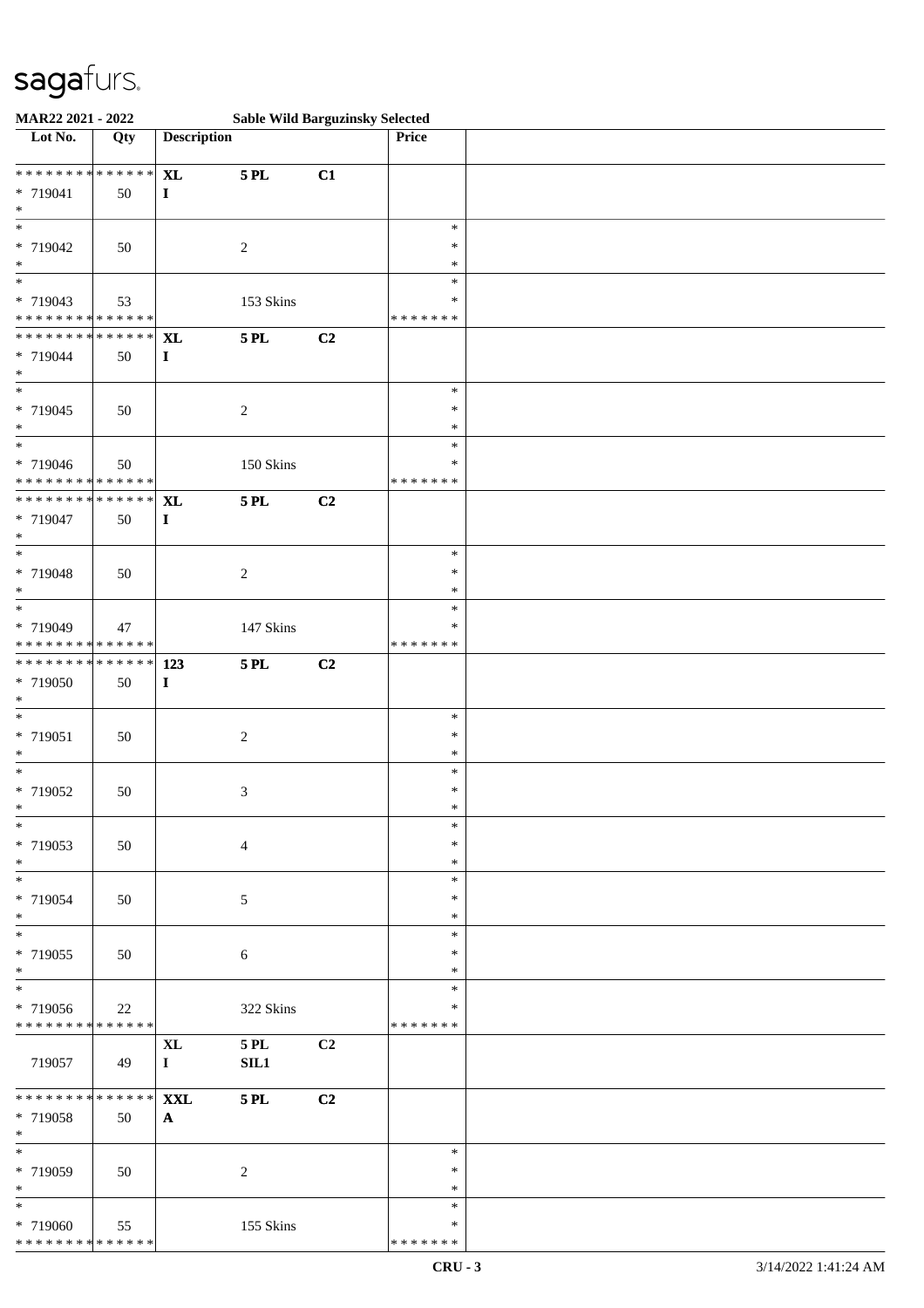| MAR22 2021 - 2022             |        |                    |                  | <b>Sable Wild Barguzinsky Selected</b> |                  |  |
|-------------------------------|--------|--------------------|------------------|----------------------------------------|------------------|--|
| Lot No.                       | Qty    | <b>Description</b> |                  |                                        | Price            |  |
| * * * * * * * * * * * * * *   |        | <b>XL</b>          | <b>5 PL</b>      | C1                                     |                  |  |
| * 719041                      | 50     | $\mathbf I$        |                  |                                        |                  |  |
| $\ast$                        |        |                    |                  |                                        |                  |  |
| $\ast$                        |        |                    |                  |                                        | $\ast$           |  |
| * 719042                      | 50     |                    | $\sqrt{2}$       |                                        | $\ast$           |  |
| $\ast$                        |        |                    |                  |                                        | $\ast$           |  |
| $\overline{\phantom{0}}$      |        |                    |                  |                                        | $\ast$           |  |
| * 719043                      | 53     |                    | 153 Skins        |                                        | ∗                |  |
| * * * * * * * * * * * * * *   |        |                    |                  |                                        | * * * * * * *    |  |
| * * * * * * * * * * * * * *   |        | $\bold{X}\bold{L}$ | <b>5 PL</b>      | C2                                     |                  |  |
| * 719044                      | 50     | $\mathbf{I}$       |                  |                                        |                  |  |
| $\ast$                        |        |                    |                  |                                        |                  |  |
| $\overline{\ast}$             |        |                    |                  |                                        | $\ast$           |  |
| * 719045                      | 50     |                    | $\boldsymbol{2}$ |                                        | $\ast$           |  |
| $\ast$                        |        |                    |                  |                                        | $\ast$           |  |
| $\overline{\phantom{0}}$      |        |                    |                  |                                        | $\ast$           |  |
| * 719046                      | 50     |                    | $150~\rm{Skins}$ |                                        | $\ast$           |  |
| * * * * * * * * * * * * * *   |        |                    |                  |                                        | * * * * * * *    |  |
| * * * * * * * * * * * * * *   |        | <b>XL</b>          | <b>5 PL</b>      | C2                                     |                  |  |
| * 719047                      | 50     | $\mathbf I$        |                  |                                        |                  |  |
| $\ast$                        |        |                    |                  |                                        |                  |  |
| $\ast$                        |        |                    |                  |                                        | $\ast$           |  |
| * 719048                      | 50     |                    | $\sqrt{2}$       |                                        | $\ast$           |  |
| $\ast$                        |        |                    |                  |                                        | $\ast$           |  |
| $\overline{\phantom{0}}$      |        |                    |                  |                                        | $\ast$           |  |
| * 719049                      | 47     |                    | 147 Skins        |                                        | ∗                |  |
| * * * * * * * * * * * * * *   |        |                    |                  |                                        | * * * * * * *    |  |
| * * * * * * * * * * * * * * * |        | 123                | <b>5 PL</b>      | C2                                     |                  |  |
| * 719050                      | 50     | $\mathbf{I}$       |                  |                                        |                  |  |
| $\ast$<br>$\ast$              |        |                    |                  |                                        |                  |  |
|                               |        |                    |                  |                                        | $\ast$<br>$\ast$ |  |
| * 719051<br>$\ast$            | 50     |                    | $\sqrt{2}$       |                                        | $\ast$           |  |
| $*$                           |        |                    |                  |                                        | $\ast$           |  |
| * 719052                      | 50     |                    | $\mathfrak{Z}$   |                                        | $\ast$           |  |
| $*$                           |        |                    |                  |                                        | $\ast$           |  |
| $*$                           |        |                    |                  |                                        | $\ast$           |  |
| * 719053                      | 50     |                    | $\overline{4}$   |                                        | $\ast$           |  |
| $*$                           |        |                    |                  |                                        | $\ast$           |  |
| $\ast$                        |        |                    |                  |                                        | $\ast$           |  |
| * 719054                      | 50     |                    | 5                |                                        | $\ast$           |  |
| $*$                           |        |                    |                  |                                        | $\ast$           |  |
| $\ast$                        |        |                    |                  |                                        | $\ast$           |  |
| * 719055                      | 50     |                    | 6                |                                        | ∗                |  |
| $*$                           |        |                    |                  |                                        | $\ast$           |  |
| $\ast$                        |        |                    |                  |                                        | $\ast$           |  |
| * 719056                      | $22\,$ |                    | 322 Skins        |                                        | ∗                |  |
| * * * * * * * * * * * * * *   |        |                    |                  |                                        | * * * * * * *    |  |
|                               |        | <b>XL</b>          | 5 PL             | C <sub>2</sub>                         |                  |  |
| 719057                        | 49     | $\mathbf{I}$       | SL1              |                                        |                  |  |
|                               |        |                    |                  |                                        |                  |  |
| * * * * * * * * * * * * * * * |        | <b>XXL</b>         | <b>5 PL</b>      | C2                                     |                  |  |
| * 719058<br>$*$               | 50     | $\mathbf{A}$       |                  |                                        |                  |  |
| $*$                           |        |                    |                  |                                        | $\ast$           |  |
|                               |        |                    |                  |                                        | $\ast$           |  |
| * 719059<br>$*$               | 50     |                    | 2                |                                        | $\ast$           |  |
| $\ast$                        |        |                    |                  |                                        | ∗                |  |
| * 719060                      | 55     |                    | 155 Skins        |                                        | ∗                |  |
| * * * * * * * * * * * * * *   |        |                    |                  |                                        | * * * * * * *    |  |
|                               |        |                    |                  |                                        |                  |  |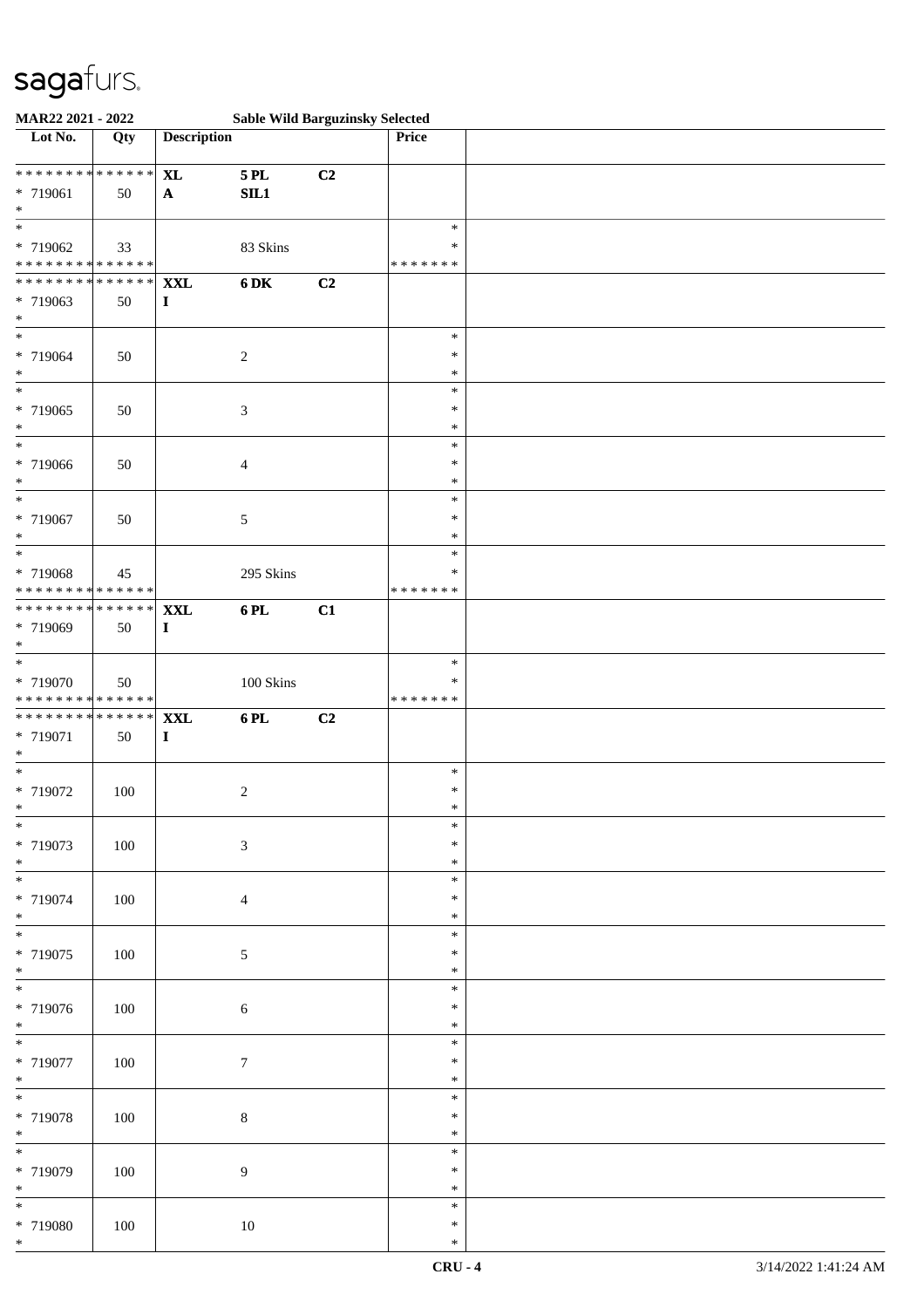| MAR22 2021 - 2022                                      |               |                                |                  | <b>Sable Wild Barguzinsky Selected</b> |                  |  |
|--------------------------------------------------------|---------------|--------------------------------|------------------|----------------------------------------|------------------|--|
| Lot No.                                                | Qty           | <b>Description</b>             |                  |                                        | Price            |  |
| * * * * * * * * * * * * * *                            |               | <b>XL</b>                      | <b>5 PL</b>      | C2                                     |                  |  |
| * 719061                                               | 50            | $\mathbf{A}$                   | SIL1             |                                        |                  |  |
| $\ast$<br>$\overline{\ast}$                            |               |                                |                  |                                        |                  |  |
| * 719062                                               | 33            |                                | 83 Skins         |                                        | $\ast$<br>$\ast$ |  |
| * * * * * * * * <mark>* * * * * * *</mark>             |               |                                |                  |                                        | * * * * * * *    |  |
| * * * * * * * *                                        | * * * * * * * | <b>XXL</b>                     | <b>6DK</b>       | C2                                     |                  |  |
| * 719063                                               | 50            | $\mathbf I$                    |                  |                                        |                  |  |
| $\ast$<br>$\overline{\ast}$                            |               |                                |                  |                                        | $\ast$           |  |
| * 719064                                               | 50            |                                | $\sqrt{2}$       |                                        | $\ast$           |  |
| $\ast$                                                 |               |                                |                  |                                        | $\ast$           |  |
| $\overline{\phantom{0}}$                               |               |                                |                  |                                        | $\ast$           |  |
| * 719065                                               | 50            |                                | 3                |                                        | $\ast$           |  |
| $\ast$<br>$\overline{\ast}$                            |               |                                |                  |                                        | $\ast$<br>$\ast$ |  |
| * 719066                                               | 50            |                                | 4                |                                        | $\ast$           |  |
| $\ast$                                                 |               |                                |                  |                                        | $\ast$           |  |
| $\ast$                                                 |               |                                |                  |                                        | $\ast$           |  |
| * 719067<br>$\ast$                                     | 50            |                                | 5                |                                        | $\ast$<br>∗      |  |
| $\ast$                                                 |               |                                |                  |                                        | $\ast$           |  |
| * 719068                                               | 45            |                                | 295 Skins        |                                        | $\ast$           |  |
| * * * * * * * * * * * * * *                            |               |                                |                  |                                        | * * * * * * *    |  |
| * * * * * * * * * * * * * *                            |               | <b>XXL</b>                     | 6PL              | C1                                     |                  |  |
| * 719069<br>$\ast$                                     | 50            | $\mathbf{I}$                   |                  |                                        |                  |  |
| $*$                                                    |               |                                |                  |                                        | $\ast$           |  |
| * 719070                                               | 50            |                                | 100 Skins        |                                        | $\ast$           |  |
| * * * * * * * * * * * * * *                            |               |                                |                  |                                        | * * * * * * *    |  |
| * * * * * * * * <mark>* * * * * * *</mark><br>* 719071 | 50            | $\mathbf{XXL}$<br>$\mathbf{I}$ | 6PL              | C2                                     |                  |  |
| $\ast$                                                 |               |                                |                  |                                        |                  |  |
| $*$                                                    |               |                                |                  |                                        | $\ast$           |  |
| * 719072                                               | 100           |                                | $\boldsymbol{2}$ |                                        | $\ast$           |  |
| $*$<br>$\ast$                                          |               |                                |                  |                                        | $\ast$<br>$\ast$ |  |
| * 719073                                               | 100           |                                | $\mathfrak{Z}$   |                                        | $\ast$           |  |
| $*$                                                    |               |                                |                  |                                        | $\ast$           |  |
| $\ast$                                                 |               |                                |                  |                                        | $\ast$           |  |
| * 719074<br>$*$                                        | 100           |                                | $\overline{4}$   |                                        | $\ast$<br>$\ast$ |  |
| $\overline{\phantom{0}}$                               |               |                                |                  |                                        | $\ast$           |  |
| * 719075                                               | $100\,$       |                                | $\sqrt{5}$       |                                        | $\ast$           |  |
| $*$                                                    |               |                                |                  |                                        | $\ast$           |  |
| $\overline{\phantom{0}}$                               |               |                                |                  |                                        | $\ast$           |  |
| * 719076<br>$*$                                        | $100\,$       |                                | $\sqrt{6}$       |                                        | $\ast$<br>$\ast$ |  |
| $\overline{\ast}$                                      |               |                                |                  |                                        | $\ast$           |  |
| * 719077                                               | $100\,$       |                                | $\boldsymbol{7}$ |                                        | $\ast$           |  |
| $*$<br>$*$                                             |               |                                |                  |                                        | $\ast$           |  |
| * 719078                                               | 100           |                                | $8\,$            |                                        | $\ast$<br>$\ast$ |  |
| $*$                                                    |               |                                |                  |                                        | $\ast$           |  |
| $\overline{\ast}$                                      |               |                                |                  |                                        | $\ast$           |  |
| * 719079                                               | 100           |                                | 9                |                                        | $\ast$           |  |
| $*$<br>$\ast$                                          |               |                                |                  |                                        | $\ast$<br>$\ast$ |  |
| * 719080                                               | $100\,$       |                                | $10\,$           |                                        | $\ast$           |  |
| $*$                                                    |               |                                |                  |                                        | $\ast$           |  |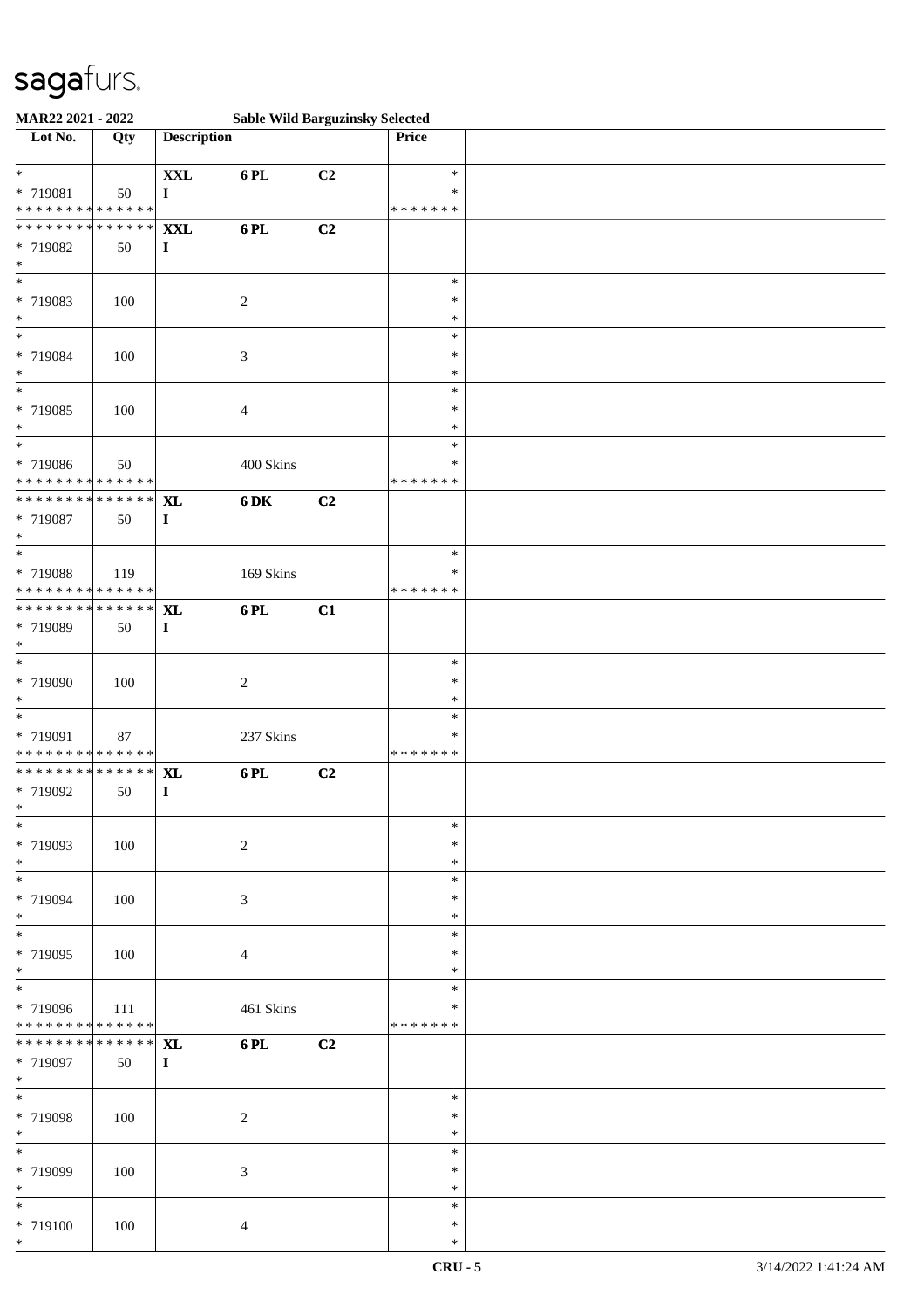| MAR22 2021 - 2022                                            |                     |                            |                  | <b>Sable Wild Barguzinsky Selected</b> |                                   |  |
|--------------------------------------------------------------|---------------------|----------------------------|------------------|----------------------------------------|-----------------------------------|--|
| Lot No.                                                      | Qty                 | <b>Description</b>         |                  |                                        | Price                             |  |
| $\ast$<br>* 719081<br>* * * * * * * * * * * * * *            | 50                  | $\mathbf{XXL}$<br>$\bf{I}$ | 6 PL             | C2                                     | $\ast$<br>∗<br>* * * * * * *      |  |
| * * * * * * * * * * * * * *<br>* 719082<br>$\ast$            | 50                  | <b>XXL</b><br>$\bf{I}$     | 6PL              | C2                                     |                                   |  |
| $*$<br>* 719083<br>$\ast$                                    | 100                 |                            | $\sqrt{2}$       |                                        | $\ast$<br>$\ast$<br>$\ast$        |  |
| $\overline{\ast}$<br>* 719084<br>$\ast$                      | 100                 |                            | $\mathfrak{Z}$   |                                        | $\ast$<br>$\ast$<br>$\ast$        |  |
| $\overline{\ast}$<br>* 719085<br>$*$<br>$\ast$               | 100                 |                            | $\overline{4}$   |                                        | $\ast$<br>$\ast$<br>$\ast$        |  |
| * 719086<br>* * * * * * * * * * * * * *                      | 50                  |                            | 400 Skins        |                                        | $\ast$<br>$\ast$<br>* * * * * * * |  |
| * * * * * * * * * * * * * *<br>* 719087<br>$\ast$            | 50                  | <b>XL</b><br>$\mathbf I$   | 6 DK             | C2                                     |                                   |  |
| $\ast$<br>* 719088<br>* * * * * * * * * * * * * *            | 119                 |                            | 169 Skins        |                                        | $\ast$<br>$\ast$<br>* * * * * * * |  |
| * * * * * * * * * * * * * * *<br>* 719089<br>$\ast$          | 50                  | <b>XL</b><br>$\mathbf{I}$  | 6PL              | C1                                     |                                   |  |
| $*$<br>* 719090<br>$\ast$                                    | 100                 |                            | $\boldsymbol{2}$ |                                        | $\ast$<br>$\ast$<br>$\ast$        |  |
| $\overline{\ast}$<br>* 719091<br>* * * * * * * * * * * * * * | 87                  |                            | 237 Skins        |                                        | $\ast$<br>$\ast$<br>* * * * * * * |  |
| * * * * * * * * * * * * * * *<br>* 719092<br>$*$             | 50                  | <b>XL</b><br>I             | 6PL              | C2                                     |                                   |  |
| $*$<br>* 719093<br>$*$                                       | 100                 |                            | $\sqrt{2}$       |                                        | $\ast$<br>∗<br>∗                  |  |
| $*$<br>* 719094<br>$*$                                       | 100                 |                            | 3                |                                        | $\ast$<br>$\ast$<br>$\ast$        |  |
| $*$<br>* 719095<br>$*$                                       | 100                 |                            | $\overline{4}$   |                                        | $\ast$<br>$\ast$<br>$\ast$        |  |
| $*$<br>* 719096<br>* * * * * * * * * * * * * *               | 111                 |                            | 461 Skins        |                                        | $\ast$<br>*<br>* * * * * * *      |  |
| * * * * * * * *<br>* 719097<br>$*$                           | * * * * * * *<br>50 | <b>XL</b><br>$\mathbf{I}$  | 6 PL             | C2                                     |                                   |  |
| $*$<br>* 719098<br>$*$                                       | 100                 |                            | $\boldsymbol{2}$ |                                        | $\ast$<br>$\ast$<br>$\ast$        |  |
| $\ast$<br>* 719099<br>$*$                                    | 100                 |                            | 3                |                                        | $\ast$<br>$\ast$<br>∗             |  |
| $\ast$<br>* 719100<br>$*$                                    | 100                 |                            | $\overline{4}$   |                                        | $\ast$<br>$\ast$<br>$\ast$        |  |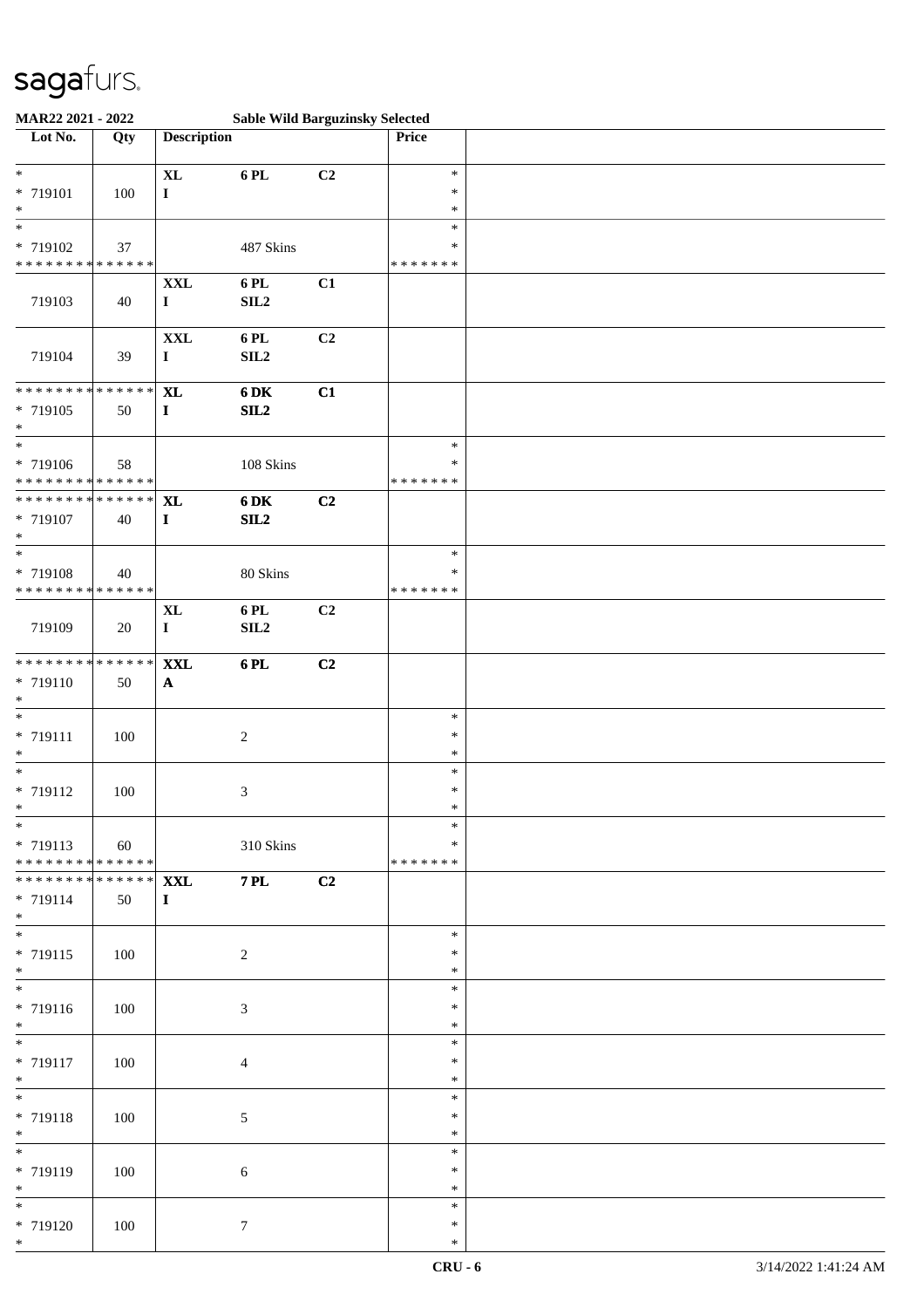| MAR22 2021 - 2022                                       |                     |                                |                  | <b>Sable Wild Barguzinsky Selected</b> |                                   |  |
|---------------------------------------------------------|---------------------|--------------------------------|------------------|----------------------------------------|-----------------------------------|--|
| Lot No.                                                 | Qty                 | <b>Description</b>             |                  |                                        | Price                             |  |
| $*$<br>* 719101<br>$\ast$                               | 100                 | $\mathbf{XL}$<br>$\bf{I}$      | 6 PL             | C2                                     | $\ast$<br>$\ast$<br>$\ast$        |  |
| * 719102<br>* * * * * * * * * * * * * *                 | 37                  |                                | 487 Skins        |                                        | $\ast$<br>$\ast$<br>* * * * * * * |  |
| 719103                                                  | 40                  | <b>XXL</b><br>$\mathbf{I}$     | 6 PL<br>SL2      | C1                                     |                                   |  |
| 719104                                                  | 39                  | $\mathbf{XXL}$<br>$\bf I$      | 6PL<br>SL2       | C2                                     |                                   |  |
| * * * * * * * * * * * * * *<br>$* 719105$<br>$*$<br>$*$ | 50                  | <b>XL</b><br>$\mathbf{I}$      | 6 DK<br>SL2      | C1                                     | $\ast$                            |  |
| * 719106<br>* * * * * * * * * * * * * *                 | 58                  |                                | $108$ Skins      |                                        | $\ast$<br>* * * * * * *           |  |
| **************<br>$* 719107$<br>$\ast$                  | 40                  | <b>XL</b><br>$\mathbf I$       | 6 DK<br>SL2      | C2                                     |                                   |  |
| $\ast$<br>* 719108<br>* * * * * * * * * * * * * *       | 40                  |                                | 80 Skins         |                                        | $\ast$<br>$\ast$<br>* * * * * * * |  |
| 719109                                                  | 20                  | <b>XL</b><br>$\mathbf I$       | 6 PL<br>SL2      | C2                                     |                                   |  |
| * * * * * * * * * * * * * *<br>* 719110<br>$\ast$       | 50                  | $\mathbf{XXL}$<br>$\mathbf{A}$ | 6PL              | C2                                     |                                   |  |
| $\frac{1}{\ast}$<br>* 719111<br>$\ast$                  | 100                 |                                | $\boldsymbol{2}$ |                                        | $\ast$<br>$\ast$<br>$\ast$        |  |
| $*$<br>* 719112<br>$*$                                  | 100                 |                                | 3                |                                        | $\ast$<br>$\ast$<br>$\ast$        |  |
| $*$<br>* 719113<br>******** <mark>******</mark>         | 60                  |                                | 310 Skins        |                                        | $\ast$<br>∗<br>* * * * * * *      |  |
| * * * * * * * *<br>* 719114<br>$*$                      | * * * * * * *<br>50 | <b>XXL</b><br>$\bf{I}$         | $7$ PL $\,$      | C2                                     |                                   |  |
| $*$<br>* 719115<br>$*$<br>$\overline{\phantom{0}}$      | 100                 |                                | $\boldsymbol{2}$ |                                        | $\ast$<br>$\ast$<br>$\ast$        |  |
| * 719116<br>$*$                                         | 100                 |                                | $\mathfrak{Z}$   |                                        | $\ast$<br>$\ast$<br>$\ast$        |  |
| $\overline{\phantom{0}}$<br>* 719117<br>$*$             | 100                 |                                | $\overline{4}$   |                                        | $\ast$<br>$\ast$<br>$\ast$        |  |
| $*$<br>* 719118<br>$*$                                  | 100                 |                                | 5                |                                        | $\ast$<br>$\ast$<br>$\ast$        |  |
| $\overline{\phantom{0}}$<br>* 719119<br>$*$             | 100                 |                                | 6                |                                        | $\ast$<br>$\ast$<br>∗             |  |
| $*$<br>* 719120<br>$*$                                  | 100                 |                                | $\tau$           |                                        | $\ast$<br>$\ast$<br>$\ast$        |  |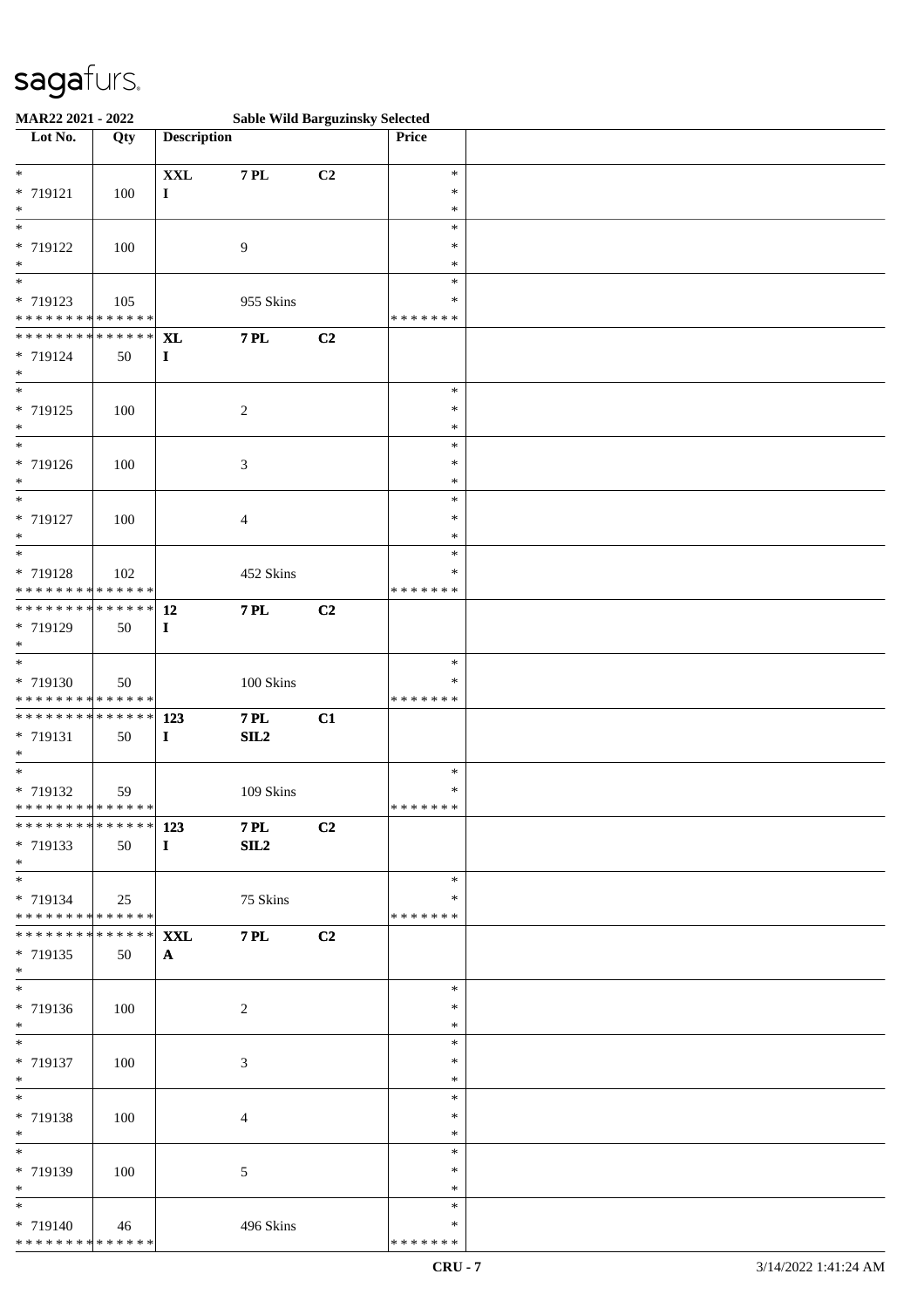| MAR22 2021 - 2022                                                           |     |                           |                      | <b>Sable Wild Barguzinsky Selected</b> |                                   |  |
|-----------------------------------------------------------------------------|-----|---------------------------|----------------------|----------------------------------------|-----------------------------------|--|
| Lot No.                                                                     | Qty | <b>Description</b>        |                      |                                        | Price                             |  |
| $\ast$<br>* 719121<br>$\ast$                                                | 100 | $\mathbf{XXL}$<br>I       | <b>7 PL</b>          | C2                                     | $\ast$<br>$\ast$<br>$\ast$        |  |
| $\overline{\ast}$<br>* 719122<br>$\ast$<br>$\overline{\phantom{0}}$         | 100 |                           | 9                    |                                        | $\ast$<br>∗<br>$\ast$             |  |
| * 719123<br>* * * * * * * * * * * * * *                                     | 105 |                           | 955 Skins            |                                        | $\ast$<br>$\ast$<br>* * * * * * * |  |
| ******** <mark>******</mark><br>* 719124<br>$*$<br>$\overline{\phantom{0}}$ | 50  | <b>XL</b><br>$\mathbf{I}$ | <b>7 PL</b>          | C2                                     |                                   |  |
| * 719125<br>$\ast$<br>$\overline{\ast}$                                     | 100 |                           | $\boldsymbol{2}$     |                                        | $\ast$<br>$\ast$<br>$\ast$        |  |
| * 719126<br>$*$                                                             | 100 |                           | 3                    |                                        | $\ast$<br>$\ast$<br>*             |  |
| $\ast$<br>* 719127<br>$\ast$<br>$*$                                         | 100 |                           | 4                    |                                        | $\ast$<br>$\ast$<br>$\ast$        |  |
| * 719128<br>* * * * * * * * * * * * * *                                     | 102 |                           | 452 Skins            |                                        | $\ast$<br>∗<br>* * * * * * *      |  |
| * * * * * * * * * * * * * * *<br>* 719129<br>$*$<br>$\overline{\ast}$       | 50  | <b>12</b><br>$\mathbf{I}$ | <b>7 PL</b>          | C2                                     |                                   |  |
| * 719130<br>* * * * * * * * * * * * * *                                     | 50  |                           | $100~\mathrm{Skins}$ |                                        | $\ast$<br>*<br>* * * * * * *      |  |
| * * * * * * * * * * * * * * *<br>* 719131<br>$*$                            | 50  | 123<br>$\mathbf{I}$       | <b>7 PL</b><br>SL2   | C1                                     |                                   |  |
| $\ast$<br>* 719132<br>******** <mark>******</mark>                          | 59  |                           | 109 Skins            |                                        | $\ast$<br>$\ast$<br>*******       |  |
| ************** 123<br>* 719133<br>$*$                                       | 50  | $\bf{I}$                  | <b>7 PL</b><br>SL2   | C2                                     |                                   |  |
| $*$<br>* 719134<br>* * * * * * * * * * * * * * *                            | 25  |                           | 75 Skins             |                                        | $\ast$<br>*<br>* * * * * * *      |  |
| *************** XXL<br>* 719135<br>$*$                                      | 50  | $\mathbf{A}$              | <b>7 PL</b>          | C2                                     |                                   |  |
| * 719136<br>$*$                                                             | 100 |                           | 2                    |                                        | $\ast$<br>∗<br>$\ast$             |  |
| $*$<br>* 719137<br>$*$                                                      | 100 |                           | 3                    |                                        | $\ast$<br>$\ast$<br>$\ast$        |  |
| $*$<br>* 719138<br>$*$                                                      | 100 |                           | 4                    |                                        | $\ast$<br>$\ast$<br>$\ast$        |  |
| $\overline{\ast}$<br>* 719139<br>$*$                                        | 100 |                           | 5                    |                                        | $\ast$<br>∗<br>$\ast$             |  |
| $*$<br>* 719140<br>******** <mark>******</mark>                             | 46  |                           | 496 Skins            |                                        | $\ast$<br>∗<br>* * * * * * *      |  |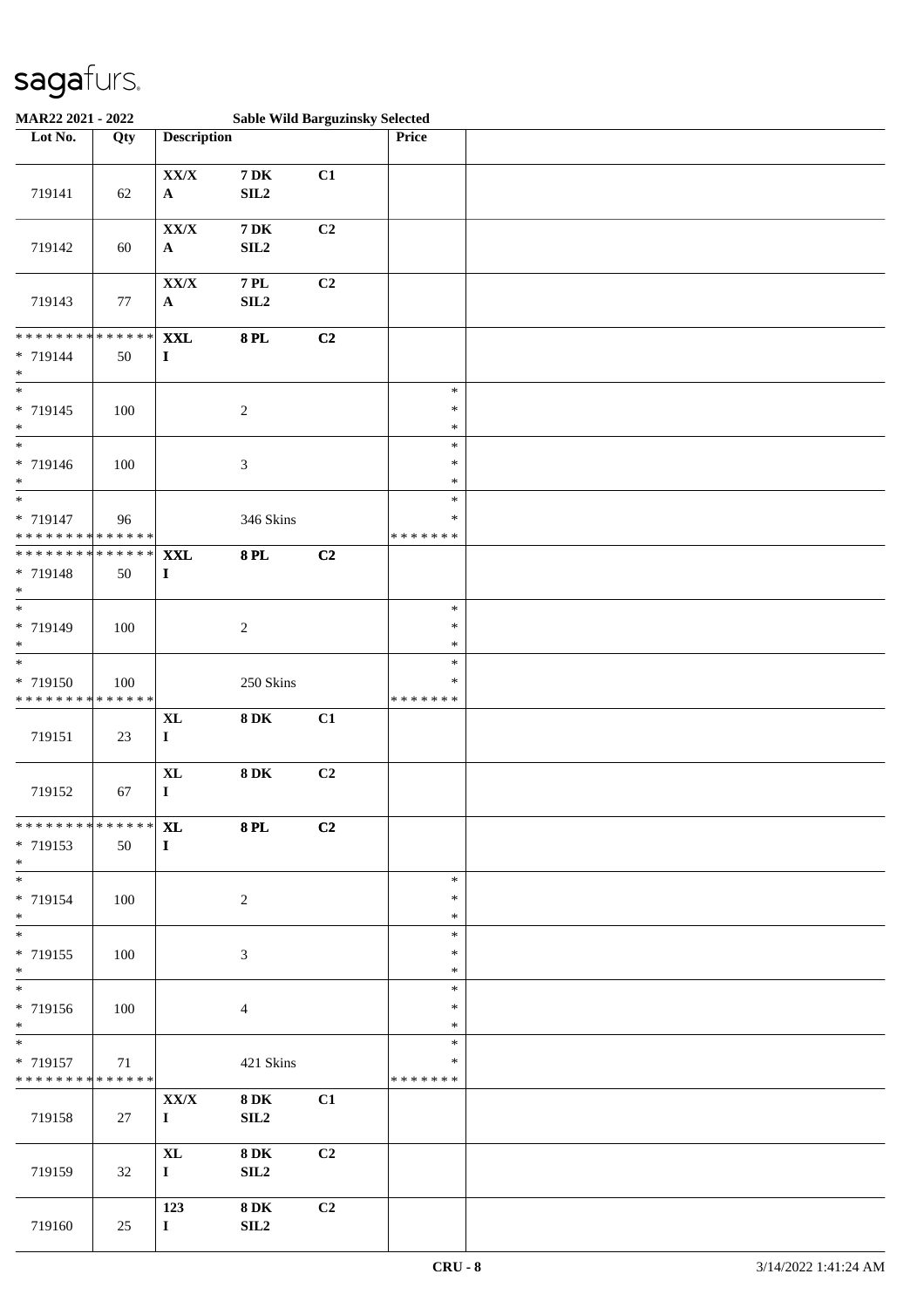| MAR22 2021 - 2022                                 |                   |                               |                                | <b>Sable Wild Barguzinsky Selected</b> |                                   |  |
|---------------------------------------------------|-------------------|-------------------------------|--------------------------------|----------------------------------------|-----------------------------------|--|
| Lot No.                                           | Qty               | <b>Description</b>            |                                |                                        | Price                             |  |
| 719141                                            | 62                | ${\bf XX/ X}$<br>$\mathbf{A}$ | <b>7 DK</b><br>SL2             | C1                                     |                                   |  |
| 719142                                            | 60                | ${\bf XX/X}$<br>$\mathbf A$   | $7\,\mathrm{DK}$<br>SLL2       | C2                                     |                                   |  |
| 719143                                            | $77\,$            | ${\bf XX/X}$<br>$\mathbf{A}$  | <b>7 PL</b><br>SL2             | C2                                     |                                   |  |
| * * * * * * * *<br>* 719144<br>$\ast$             | * * * * * *<br>50 | $\mathbf{XXL}$<br>$\mathbf I$ | <b>8 PL</b>                    | C2                                     |                                   |  |
| $\overline{\phantom{0}}$<br>* 719145<br>$\ast$    | 100               |                               | $\boldsymbol{2}$               |                                        | $\ast$<br>$\ast$<br>$\ast$        |  |
| $\overline{\ast}$<br>* 719146<br>$\ast$           | 100               |                               | 3                              |                                        | $\ast$<br>$\ast$<br>$\ast$        |  |
| $*$<br>* 719147<br>* * * * * * * * * * * * * *    | 96                |                               | 346 Skins                      |                                        | $\ast$<br>$\ast$<br>* * * * * * * |  |
| * * * * * * * *<br>* 719148<br>$*$                | ******<br>50      | <b>XXL</b><br>$\mathbf I$     | <b>8PL</b>                     | C2                                     |                                   |  |
| $\overline{\ast}$<br>* 719149<br>$\ast$           | 100               |                               | $\boldsymbol{2}$               |                                        | $\ast$<br>$\ast$<br>$\ast$        |  |
| $\ast$<br>* 719150<br>* * * * * * * * * * * * * * | 100               |                               | 250 Skins                      |                                        | $\ast$<br>∗<br>* * * * * * *      |  |
| 719151                                            | 23                | <b>XL</b><br>$\mathbf I$      | $8\,\mathrm{DK}$               | C1                                     |                                   |  |
| 719152                                            | 67                | $\mathbf{X}$ L<br>$\mathbf I$ | $8\,\mathrm{DK}$               | C2                                     |                                   |  |
| * * * * * * * * * * * * * * *<br>* 719153<br>$*$  | 50                | <b>XL</b><br>$\bf{I}$         | <b>8 PL</b>                    | C2                                     |                                   |  |
| $\overline{\phantom{0}}$<br>* 719154<br>$*$       | 100               |                               | $\overline{c}$                 |                                        | $\ast$<br>$\ast$<br>$\ast$        |  |
| $\overline{\phantom{0}}$<br>* 719155<br>$*$       | 100               |                               | 3                              |                                        | $\ast$<br>∗<br>$\ast$             |  |
| * 719156<br>$*$                                   | 100               |                               | 4                              |                                        | $\ast$<br>∗<br>$\ast$             |  |
| $*$<br>* 719157<br>* * * * * * * * * * * * * *    | 71                |                               | 421 Skins                      |                                        | $\ast$<br>*<br>* * * * * * *      |  |
| 719158                                            | 27                | ${\bf XX/ X}$<br>$\mathbf{I}$ | <b>8DK</b><br>SLL2             | C1                                     |                                   |  |
| 719159                                            | 32                | $\mathbf{XL}$<br>$\mathbf I$  | <b>8DK</b><br>SIL <sub>2</sub> | C2                                     |                                   |  |
| 719160                                            | 25                | 123<br>$\mathbf{I}$           | <b>8DK</b><br>SLL2             | C2                                     |                                   |  |